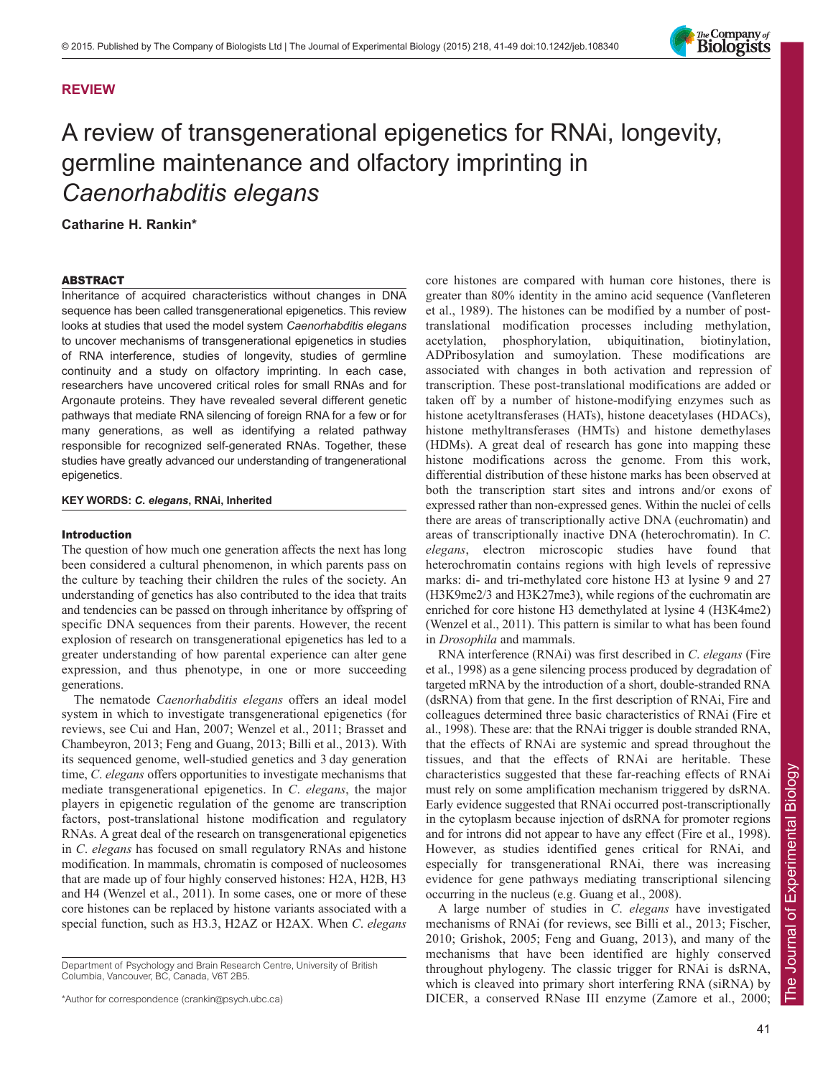

# **REVIEW**

# A review of transgenerational epigenetics for RNAi, longevity, germline maintenance and olfactory imprinting in *Caenorhabditis elegans*

**Catharine H. Rankin\***

## ABSTRACT

Inheritance of acquired characteristics without changes in DNA sequence has been called transgenerational epigenetics. This review looks at studies that used the model system *Caenorhabditis elegans* to uncover mechanisms of transgenerational epigenetics in studies of RNA interference, studies of longevity, studies of germline continuity and a study on olfactory imprinting. In each case, researchers have uncovered critical roles for small RNAs and for Argonaute proteins. They have revealed several different genetic pathways that mediate RNA silencing of foreign RNA for a few or for many generations, as well as identifying a related pathway responsible for recognized self-generated RNAs. Together, these studies have greatly advanced our understanding of trangenerational epigenetics.

## **KEY WORDS:** *C***.** *elegans***, RNAi, Inherited**

## Introduction

The question of how much one generation affects the next has long been considered a cultural phenomenon, in which parents pass on the culture by teaching their children the rules of the society. An understanding of genetics has also contributed to the idea that traits and tendencies can be passed on through inheritance by offspring of specific DNA sequences from their parents. However, the recent explosion of research on transgenerational epigenetics has led to a greater understanding of how parental experience can alter gene expression, and thus phenotype, in one or more succeeding generations.

The nematode *Caenorhabditis elegans* offers an ideal model system in which to investigate transgenerational epigenetics (for reviews, see Cui and Han, 2007; Wenzel et al., 2011; Brasset and Chambeyron, 2013; Feng and Guang, 2013; Billi et al., 2013). With its sequenced genome, well-studied genetics and 3 day generation time, *C*. *elegans* offers opportunities to investigate mechanisms that mediate transgenerational epigenetics. In *C*. *elegans*, the major players in epigenetic regulation of the genome are transcription factors, post-translational histone modification and regulatory RNAs. A great deal of the research on transgenerational epigenetics in *C*. *elegans* has focused on small regulatory RNAs and histone modification. In mammals, chromatin is composed of nucleosomes that are made up of four highly conserved histones: H2A, H2B, H3 and H4 (Wenzel et al., 2011). In some cases, one or more of these core histones can be replaced by histone variants associated with a special function, such as H3.3, H2AZ or H2AX. When *C*. *elegans* core histones are compared with human core histones, there is greater than 80% identity in the amino acid sequence (Vanfleteren et al., 1989). The histones can be modified by a number of posttranslational modification processes including methylation, acetylation, phosphorylation, ubiquitination, biotinylation, ADPribosylation and sumoylation. These modifications are associated with changes in both activation and repression of transcription. These post-translational modifications are added or taken off by a number of histone-modifying enzymes such as histone acetyltransferases (HATs), histone deacetylases (HDACs), histone methyltransferases (HMTs) and histone demethylases (HDMs). A great deal of research has gone into mapping these histone modifications across the genome. From this work, differential distribution of these histone marks has been observed at both the transcription start sites and introns and/or exons of expressed rather than non-expressed genes. Within the nuclei of cells there are areas of transcriptionally active DNA (euchromatin) and areas of transcriptionally inactive DNA (heterochromatin). In *C*. *elegans*, electron microscopic studies have found that heterochromatin contains regions with high levels of repressive marks: di- and tri-methylated core histone H3 at lysine 9 and 27 (H3K9me2/3 and H3K27me3), while regions of the euchromatin are enriched for core histone H3 demethylated at lysine 4 (H3K4me2) (Wenzel et al., 2011). This pattern is similar to what has been found in *Drosophila* and mammals.

RNA interference (RNAi) was first described in *C*. *elegans* (Fire et al., 1998) as a gene silencing process produced by degradation of targeted mRNA by the introduction of a short, double-stranded RNA (dsRNA) from that gene. In the first description of RNAi, Fire and colleagues determined three basic characteristics of RNAi (Fire et al., 1998). These are: that the RNAi trigger is double stranded RNA, that the effects of RNAi are systemic and spread throughout the tissues, and that the effects of RNAi are heritable. These characteristics suggested that these far-reaching effects of RNAi must rely on some amplification mechanism triggered by dsRNA. Early evidence suggested that RNAi occurred post-transcriptionally in the cytoplasm because injection of dsRNA for promoter regions and for introns did not appear to have any effect (Fire et al., 1998). However, as studies identified genes critical for RNAi, and especially for transgenerational RNAi, there was increasing evidence for gene pathways mediating transcriptional silencing occurring in the nucleus (e.g. Guang et al., 2008).

A large number of studies in *C*. *elegans* have investigated mechanisms of RNAi (for reviews, see Billi et al., 2013; Fischer, 2010; Grishok, 2005; Feng and Guang, 2013), and many of the mechanisms that have been identified are highly conserved throughout phylogeny. The classic trigger for RNAi is dsRNA, which is cleaved into primary short interfering RNA (siRNA) by DICER, a conserved RNase III enzyme (Zamore et al., 2000;

Department of Psychology and Brain Research Centre, University of British Columbia, Vancouver, BC, Canada, V6T 2B5.

<sup>\*</sup>Author for correspondence (crankin@psych.ubc.ca)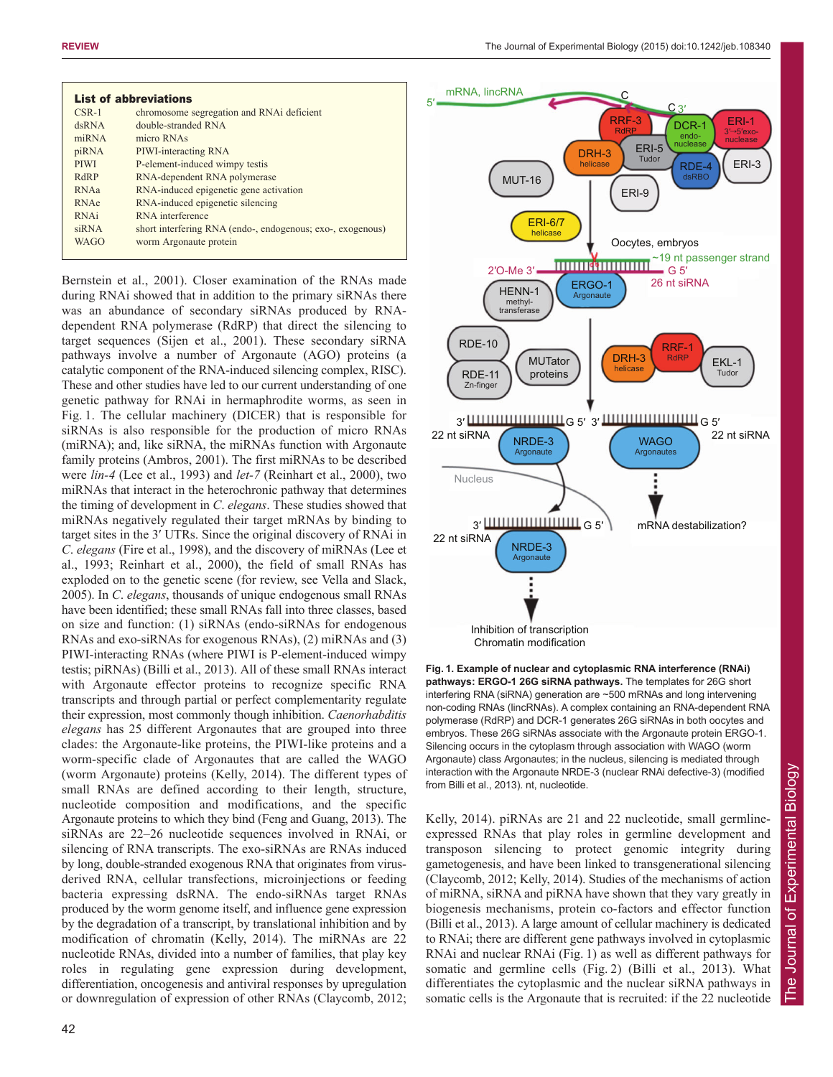| <b>List of abbreviations</b> |                                                            |
|------------------------------|------------------------------------------------------------|
| $CSR-1$                      | chromosome segregation and RNA ideficient                  |
| dsRNA                        | double-stranded RNA                                        |
| $m$ <sub>RNA</sub>           | micro RNAs                                                 |
| piRNA                        | PIWI-interacting RNA                                       |
| <b>PIWI</b>                  | P-element-induced wimpy testis                             |
| RdRP                         | RNA-dependent RNA polymerase                               |
| RNAa                         | RNA-induced epigenetic gene activation                     |
| <b>RNAe</b>                  | RNA-induced epigenetic silencing                           |
| RNAi                         | RNA interference                                           |
| siRNA                        | short interfering RNA (endo-, endogenous; exo-, exogenous) |
| <b>WAGO</b>                  | worm Argonaute protein                                     |
|                              |                                                            |

Bernstein et al., 2001). Closer examination of the RNAs made during RNAi showed that in addition to the primary siRNAs there was an abundance of secondary siRNAs produced by RNAdependent RNA polymerase (RdRP) that direct the silencing to target sequences (Sijen et al., 2001). These secondary siRNA pathways involve a number of Argonaute (AGO) proteins (a catalytic component of the RNA-induced silencing complex, RISC). These and other studies have led to our current understanding of one genetic pathway for RNAi in hermaphrodite worms, as seen in Fig. 1. The cellular machinery (DICER) that is responsible for siRNAs is also responsible for the production of micro RNAs (miRNA); and, like siRNA, the miRNAs function with Argonaute family proteins (Ambros, 2001). The first miRNAs to be described were *lin-4* (Lee et al., 1993) and *let-7* (Reinhart et al., 2000), two miRNAs that interact in the heterochronic pathway that determines the timing of development in *C*. *elegans*. These studies showed that miRNAs negatively regulated their target mRNAs by binding to target sites in the 3′ UTRs. Since the original discovery of RNAi in *C*. *elegans* (Fire et al., 1998), and the discovery of miRNAs (Lee et al., 1993; Reinhart et al., 2000), the field of small RNAs has exploded on to the genetic scene (for review, see Vella and Slack, 2005). In *C*. *elegans*, thousands of unique endogenous small RNAs have been identified; these small RNAs fall into three classes, based on size and function: (1) siRNAs (endo-siRNAs for endogenous RNAs and exo-siRNAs for exogenous RNAs), (2) miRNAs and (3) PIWI-interacting RNAs (where PIWI is P-element-induced wimpy testis; piRNAs) (Billi et al., 2013). All of these small RNAs interact with Argonaute effector proteins to recognize specific RNA transcripts and through partial or perfect complementarity regulate their expression, most commonly though inhibition. *Caenorhabditis elegans* has 25 different Argonautes that are grouped into three clades: the Argonaute-like proteins, the PIWI-like proteins and a worm-specific clade of Argonautes that are called the WAGO (worm Argonaute) proteins (Kelly, 2014). The different types of small RNAs are defined according to their length, structure, nucleotide composition and modifications, and the specific Argonaute proteins to which they bind (Feng and Guang, 2013). The siRNAs are 22–26 nucleotide sequences involved in RNAi, or silencing of RNA transcripts. The exo-siRNAs are RNAs induced by long, double-stranded exogenous RNA that originates from virusderived RNA, cellular transfections, microinjections or feeding bacteria expressing dsRNA. The endo-siRNAs target RNAs produced by the worm genome itself, and influence gene expression by the degradation of a transcript, by translational inhibition and by modification of chromatin (Kelly, 2014). The miRNAs are 22 nucleotide RNAs, divided into a number of families, that play key roles in regulating gene expression during development, differentiation, oncogenesis and antiviral responses by upregulation or downregulation of expression of other RNAs (Claycomb, 2012;



**Fig. 1. Example of nuclear and cytoplasmic RNA interference (RNAi) pathways: ERGO-1 26G siRNA pathways.** The templates for 26G short interfering RNA (siRNA) generation are ~500 mRNAs and long intervening non-coding RNAs (lincRNAs). A complex containing an RNA-dependent RNA polymerase (RdRP) and DCR-1 generates 26G siRNAs in both oocytes and embryos. These 26G siRNAs associate with the Argonaute protein ERGO-1. Silencing occurs in the cytoplasm through association with WAGO (worm Argonaute) class Argonautes; in the nucleus, silencing is mediated through interaction with the Argonaute NRDE-3 (nuclear RNAi defective-3) (modified from Billi et al., 2013). nt, nucleotide.

Kelly, 2014). piRNAs are 21 and 22 nucleotide, small germlineexpressed RNAs that play roles in germline development and transposon silencing to protect genomic integrity during gametogenesis, and have been linked to transgenerational silencing (Claycomb, 2012; Kelly, 2014). Studies of the mechanisms of action of miRNA, siRNA and piRNA have shown that they vary greatly in biogenesis mechanisms, protein co-factors and effector function (Billi et al., 2013). A large amount of cellular machinery is dedicated to RNAi; there are different gene pathways involved in cytoplasmic RNAi and nuclear RNAi (Fig. 1) as well as different pathways for somatic and germline cells (Fig. 2) (Billi et al., 2013). What differentiates the cytoplasmic and the nuclear siRNA pathways in somatic cells is the Argonaute that is recruited: if the 22 nucleotide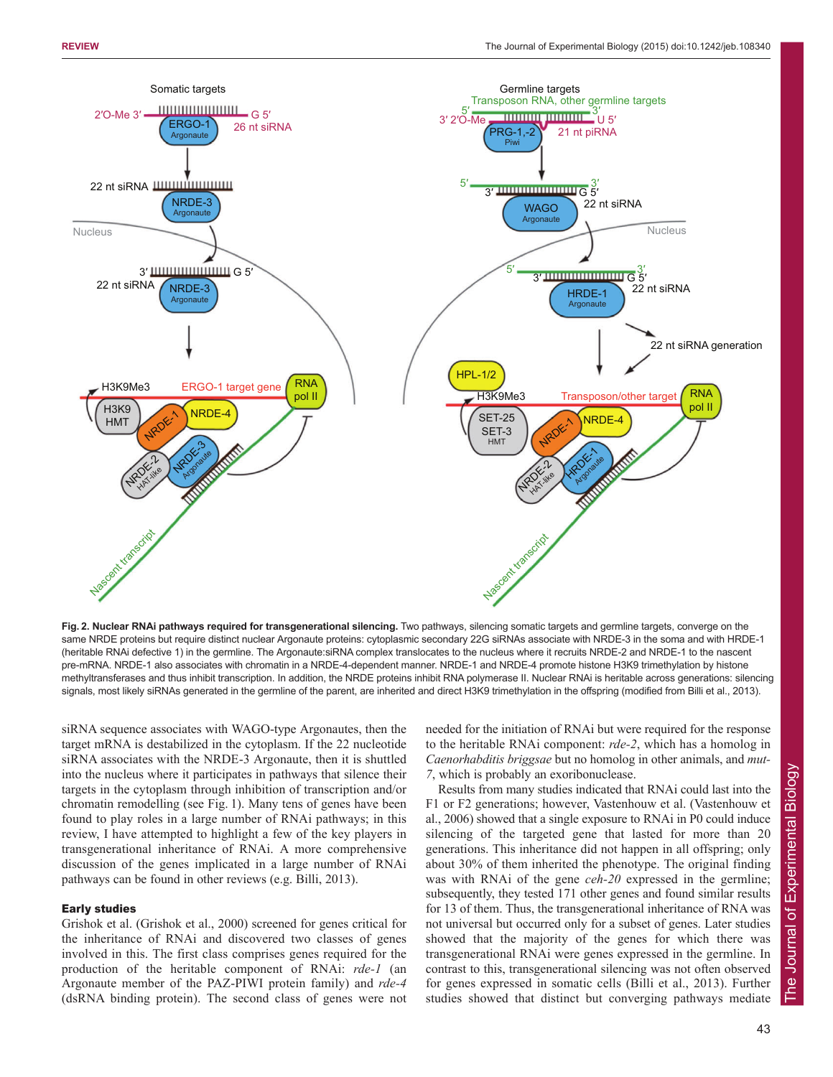

**Fig. 2. Nuclear RNAi pathways required for transgenerational silencing.** Two pathways, silencing somatic targets and germline targets, converge on the same NRDE proteins but require distinct nuclear Argonaute proteins: cytoplasmic secondary 22G siRNAs associate with NRDE-3 in the soma and with HRDE-1 (heritable RNAi defective 1) in the germline. The Argonaute:siRNA complex translocates to the nucleus where it recruits NRDE-2 and NRDE-1 to the nascent pre-mRNA. NRDE-1 also associates with chromatin in a NRDE-4-dependent manner. NRDE-1 and NRDE-4 promote histone H3K9 trimethylation by histone methyltransferases and thus inhibit transcription. In addition, the NRDE proteins inhibit RNA polymerase II. Nuclear RNAi is heritable across generations: silencing signals, most likely siRNAs generated in the germline of the parent, are inherited and direct H3K9 trimethylation in the offspring (modified from Billi et al., 2013).

siRNA sequence associates with WAGO-type Argonautes, then the target mRNA is destabilized in the cytoplasm. If the 22 nucleotide siRNA associates with the NRDE-3 Argonaute, then it is shuttled into the nucleus where it participates in pathways that silence their targets in the cytoplasm through inhibition of transcription and/or chromatin remodelling (see Fig. 1). Many tens of genes have been found to play roles in a large number of RNAi pathways; in this review, I have attempted to highlight a few of the key players in transgenerational inheritance of RNAi. A more comprehensive discussion of the genes implicated in a large number of RNAi pathways can be found in other reviews (e.g. Billi, 2013).

## Early studies

Grishok et al. (Grishok et al., 2000) screened for genes critical for the inheritance of RNAi and discovered two classes of genes involved in this. The first class comprises genes required for the production of the heritable component of RNAi: *rde-1* (an Argonaute member of the PAZ-PIWI protein family) and *rde-4* (dsRNA binding protein). The second class of genes were not

needed for the initiation of RNAi but were required for the response to the heritable RNAi component: *rde-2*, which has a homolog in *Caenorhabditis briggsae* but no homolog in other animals, and *mut-7*, which is probably an exoribonuclease.

Results from many studies indicated that RNAi could last into the F1 or F2 generations; however, Vastenhouw et al. (Vastenhouw et al., 2006) showed that a single exposure to RNAi in P0 could induce silencing of the targeted gene that lasted for more than 20 generations. This inheritance did not happen in all offspring; only about 30% of them inherited the phenotype. The original finding was with RNAi of the gene *ceh-20* expressed in the germline; subsequently, they tested 171 other genes and found similar results for 13 of them. Thus, the transgenerational inheritance of RNA was not universal but occurred only for a subset of genes. Later studies showed that the majority of the genes for which there was transgenerational RNAi were genes expressed in the germline. In contrast to this, transgenerational silencing was not often observed for genes expressed in somatic cells (Billi et al., 2013). Further studies showed that distinct but converging pathways mediate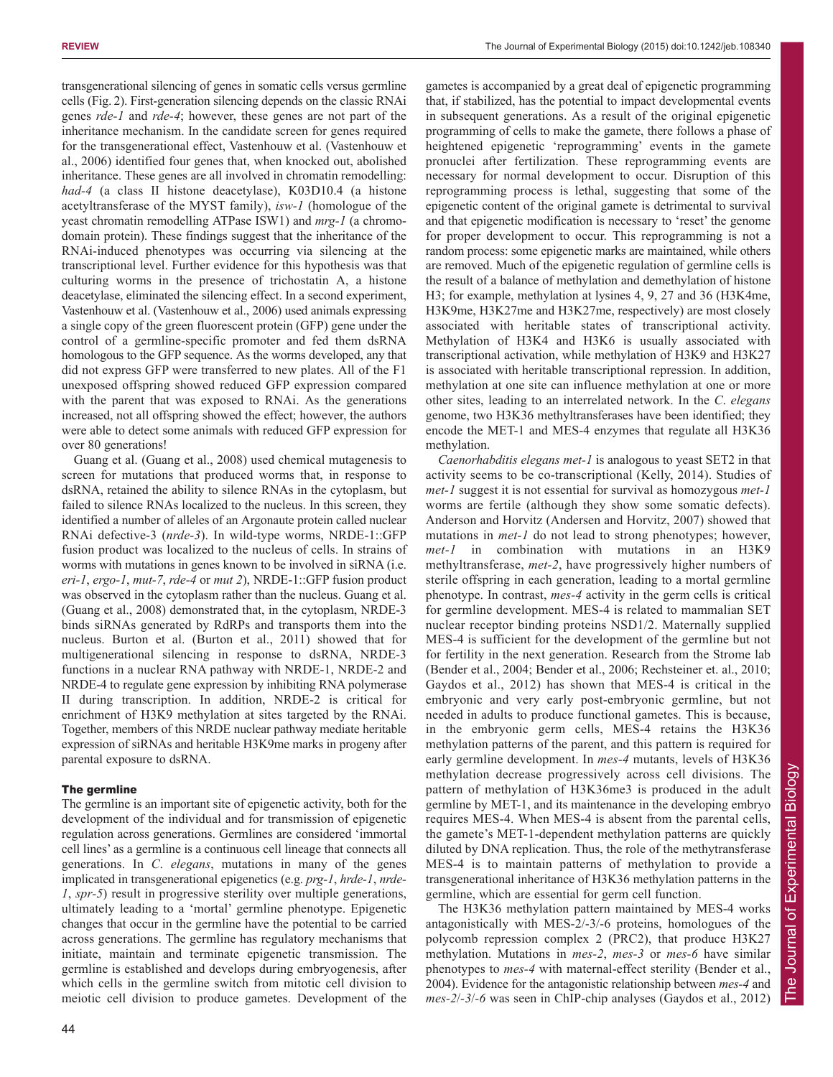gametes is accompanied by a great deal of epigenetic programming

transgenerational silencing of genes in somatic cells versus germline cells (Fig. 2). First-generation silencing depends on the classic RNAi genes *rde-1* and *rde-4*; however, these genes are not part of the inheritance mechanism. In the candidate screen for genes required for the transgenerational effect, Vastenhouw et al. (Vastenhouw et al., 2006) identified four genes that, when knocked out, abolished inheritance. These genes are all involved in chromatin remodelling: *had-4* (a class II histone deacetylase), K03D10.4 (a histone acetyltransferase of the MYST family), *isw-1* (homologue of the yeast chromatin remodelling ATPase ISW1) and *mrg-1* (a chromodomain protein). These findings suggest that the inheritance of the RNAi-induced phenotypes was occurring via silencing at the transcriptional level. Further evidence for this hypothesis was that culturing worms in the presence of trichostatin A, a histone deacetylase, eliminated the silencing effect. In a second experiment, Vastenhouw et al. (Vastenhouw et al., 2006) used animals expressing a single copy of the green fluorescent protein (GFP) gene under the control of a germline-specific promoter and fed them dsRNA homologous to the GFP sequence. As the worms developed, any that did not express GFP were transferred to new plates. All of the F1 unexposed offspring showed reduced GFP expression compared with the parent that was exposed to RNAi. As the generations increased, not all offspring showed the effect; however, the authors were able to detect some animals with reduced GFP expression for over 80 generations!

Guang et al. (Guang et al., 2008) used chemical mutagenesis to screen for mutations that produced worms that, in response to dsRNA, retained the ability to silence RNAs in the cytoplasm, but failed to silence RNAs localized to the nucleus. In this screen, they identified a number of alleles of an Argonaute protein called nuclear RNAi defective-3 (*nrde-3*). In wild-type worms, NRDE-1::GFP fusion product was localized to the nucleus of cells. In strains of worms with mutations in genes known to be involved in siRNA (i.e. *eri-1*, *ergo-1*, *mut-7*, *rde-4* or *mut 2*), NRDE-1::GFP fusion product was observed in the cytoplasm rather than the nucleus. Guang et al. (Guang et al., 2008) demonstrated that, in the cytoplasm, NRDE-3 binds siRNAs generated by RdRPs and transports them into the nucleus. Burton et al. (Burton et al., 2011) showed that for multigenerational silencing in response to dsRNA, NRDE-3 functions in a nuclear RNA pathway with NRDE-1, NRDE-2 and NRDE-4 to regulate gene expression by inhibiting RNA polymerase II during transcription. In addition, NRDE-2 is critical for enrichment of H3K9 methylation at sites targeted by the RNAi. Together, members of this NRDE nuclear pathway mediate heritable expression of siRNAs and heritable H3K9me marks in progeny after parental exposure to dsRNA.

# The germline

The germline is an important site of epigenetic activity, both for the development of the individual and for transmission of epigenetic regulation across generations. Germlines are considered 'immortal cell lines' as a germline is a continuous cell lineage that connects all generations. In *C*. *elegans*, mutations in many of the genes implicated in transgenerational epigenetics (e.g. *prg-1*, *hrde-1*, *nrde-1*, *spr-5*) result in progressive sterility over multiple generations, ultimately leading to a 'mortal' germline phenotype. Epigenetic changes that occur in the germline have the potential to be carried across generations. The germline has regulatory mechanisms that initiate, maintain and terminate epigenetic transmission. The germline is established and develops during embryogenesis, after which cells in the germline switch from mitotic cell division to meiotic cell division to produce gametes. Development of the that, if stabilized, has the potential to impact developmental events in subsequent generations. As a result of the original epigenetic programming of cells to make the gamete, there follows a phase of heightened epigenetic 'reprogramming' events in the gamete pronuclei after fertilization. These reprogramming events are necessary for normal development to occur. Disruption of this reprogramming process is lethal, suggesting that some of the epigenetic content of the original gamete is detrimental to survival and that epigenetic modification is necessary to 'reset' the genome for proper development to occur. This reprogramming is not a random process: some epigenetic marks are maintained, while others are removed. Much of the epigenetic regulation of germline cells is the result of a balance of methylation and demethylation of histone H3; for example, methylation at lysines 4, 9, 27 and 36 (H3K4me, H3K9me, H3K27me and H3K27me, respectively) are most closely associated with heritable states of transcriptional activity. Methylation of H3K4 and H3K6 is usually associated with transcriptional activation, while methylation of H3K9 and H3K27 is associated with heritable transcriptional repression. In addition, methylation at one site can influence methylation at one or more other sites, leading to an interrelated network. In the *C*. *elegans* genome, two H3K36 methyltransferases have been identified; they encode the MET-1 and MES-4 enzymes that regulate all H3K36 methylation.

*Caenorhabditis elegans met-1* is analogous to yeast SET2 in that activity seems to be co-transcriptional (Kelly, 2014). Studies of *met-1* suggest it is not essential for survival as homozygous *met-1* worms are fertile (although they show some somatic defects). Anderson and Horvitz (Andersen and Horvitz, 2007) showed that mutations in *met-1* do not lead to strong phenotypes; however, *met-1* in combination with mutations in an H3K9 methyltransferase, *met-2*, have progressively higher numbers of sterile offspring in each generation, leading to a mortal germline phenotype. In contrast, *mes-4* activity in the germ cells is critical for germline development. MES-4 is related to mammalian SET nuclear receptor binding proteins NSD1/2. Maternally supplied MES-4 is sufficient for the development of the germline but not for fertility in the next generation. Research from the Strome lab (Bender et al., 2004; Bender et al., 2006; Rechsteiner et. al., 2010; Gaydos et al., 2012) has shown that MES-4 is critical in the embryonic and very early post-embryonic germline, but not needed in adults to produce functional gametes. This is because, in the embryonic germ cells, MES-4 retains the H3K36 methylation patterns of the parent, and this pattern is required for early germline development. In *mes-4* mutants, levels of H3K36 methylation decrease progressively across cell divisions. The pattern of methylation of H3K36me3 is produced in the adult germline by MET-1, and its maintenance in the developing embryo requires MES-4. When MES-4 is absent from the parental cells, the gamete's MET-1-dependent methylation patterns are quickly diluted by DNA replication. Thus, the role of the methytransferase MES-4 is to maintain patterns of methylation to provide a transgenerational inheritance of H3K36 methylation patterns in the germline, which are essential for germ cell function.

The H3K36 methylation pattern maintained by MES-4 works antagonistically with MES-2/-3/-6 proteins, homologues of the polycomb repression complex 2 (PRC2), that produce H3K27 methylation. Mutations in *mes-2*, *mes-3* or *mes-6* have similar phenotypes to *mes-4* with maternal-effect sterility (Bender et al., 2004). Evidence for the antagonistic relationship between *mes-4* and *mes-2*/*-3*/*-6* was seen in ChIP-chip analyses (Gaydos et al., 2012)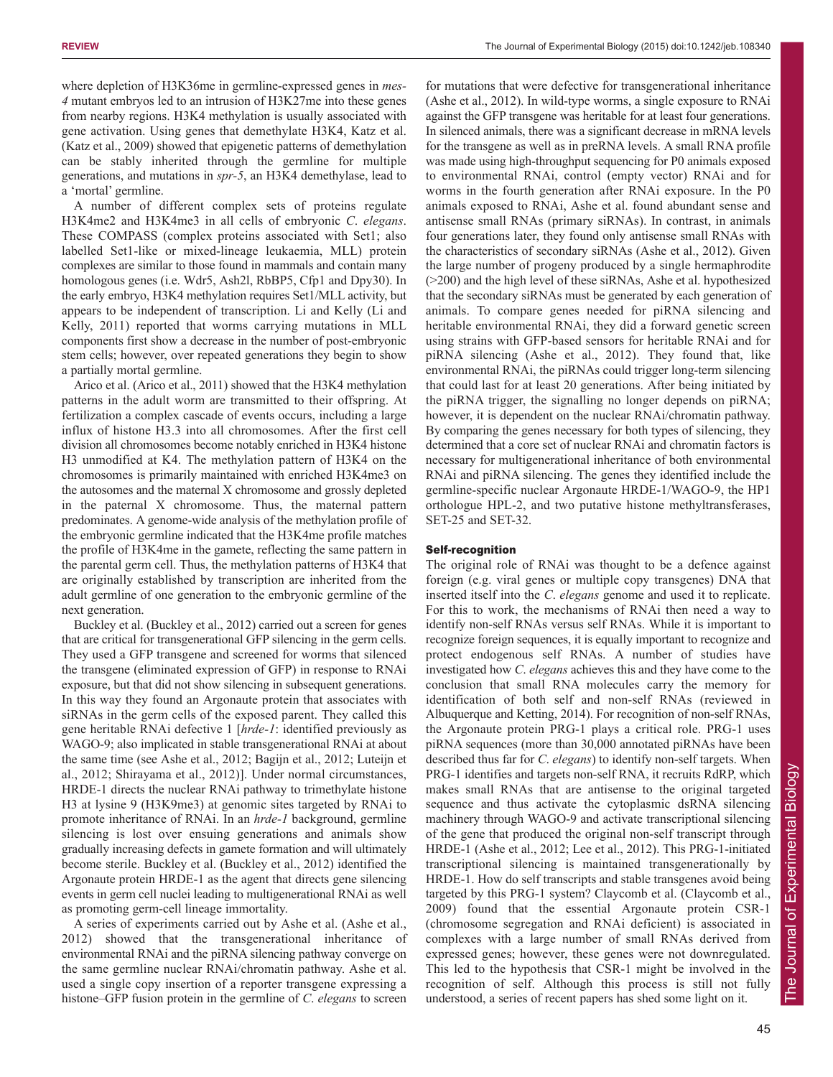where depletion of H3K36me in germline-expressed genes in *mes-4* mutant embryos led to an intrusion of H3K27me into these genes from nearby regions. H3K4 methylation is usually associated with gene activation. Using genes that demethylate H3K4, Katz et al. (Katz et al., 2009) showed that epigenetic patterns of demethylation can be stably inherited through the germline for multiple generations, and mutations in *spr-5*, an H3K4 demethylase, lead to a 'mortal' germline.

A number of different complex sets of proteins regulate H3K4me2 and H3K4me3 in all cells of embryonic *C*. *elegans*. These COMPASS (complex proteins associated with Set1; also labelled Set1-like or mixed-lineage leukaemia, MLL) protein complexes are similar to those found in mammals and contain many homologous genes (i.e. Wdr5, Ash2l, RbBP5, Cfp1 and Dpy30). In the early embryo, H3K4 methylation requires Set1/MLL activity, but appears to be independent of transcription. Li and Kelly (Li and Kelly, 2011) reported that worms carrying mutations in MLL components first show a decrease in the number of post-embryonic stem cells; however, over repeated generations they begin to show a partially mortal germline.

Arico et al. (Arico et al., 2011) showed that the H3K4 methylation patterns in the adult worm are transmitted to their offspring. At fertilization a complex cascade of events occurs, including a large influx of histone H3.3 into all chromosomes. After the first cell division all chromosomes become notably enriched in H3K4 histone H3 unmodified at K4. The methylation pattern of H3K4 on the chromosomes is primarily maintained with enriched H3K4me3 on the autosomes and the maternal X chromosome and grossly depleted in the paternal X chromosome. Thus, the maternal pattern predominates. A genome-wide analysis of the methylation profile of the embryonic germline indicated that the H3K4me profile matches the profile of H3K4me in the gamete, reflecting the same pattern in the parental germ cell. Thus, the methylation patterns of H3K4 that are originally established by transcription are inherited from the adult germline of one generation to the embryonic germline of the next generation.

Buckley et al. (Buckley et al., 2012) carried out a screen for genes that are critical for transgenerational GFP silencing in the germ cells. They used a GFP transgene and screened for worms that silenced the transgene (eliminated expression of GFP) in response to RNAi exposure, but that did not show silencing in subsequent generations. In this way they found an Argonaute protein that associates with siRNAs in the germ cells of the exposed parent. They called this gene heritable RNAi defective 1 [*hrde-1*: identified previously as WAGO-9; also implicated in stable transgenerational RNAi at about the same time (see Ashe et al., 2012; Bagijn et al., 2012; Luteijn et al., 2012; Shirayama et al., 2012)]. Under normal circumstances, HRDE-1 directs the nuclear RNAi pathway to trimethylate histone H3 at lysine 9 (H3K9me3) at genomic sites targeted by RNAi to promote inheritance of RNAi. In an *hrde-1* background, germline silencing is lost over ensuing generations and animals show gradually increasing defects in gamete formation and will ultimately become sterile. Buckley et al. (Buckley et al., 2012) identified the Argonaute protein HRDE-1 as the agent that directs gene silencing events in germ cell nuclei leading to multigenerational RNAi as well as promoting germ-cell lineage immortality.

A series of experiments carried out by Ashe et al. (Ashe et al., 2012) showed that the transgenerational inheritance of environmental RNAi and the piRNA silencing pathway converge on the same germline nuclear RNAi/chromatin pathway. Ashe et al. used a single copy insertion of a reporter transgene expressing a histone–GFP fusion protein in the germline of *C*. *elegans* to screen

for mutations that were defective for transgenerational inheritance (Ashe et al., 2012). In wild-type worms, a single exposure to RNAi against the GFP transgene was heritable for at least four generations. In silenced animals, there was a significant decrease in mRNA levels for the transgene as well as in preRNA levels. A small RNA profile was made using high-throughput sequencing for P0 animals exposed to environmental RNAi, control (empty vector) RNAi and for worms in the fourth generation after RNAi exposure. In the P0 animals exposed to RNAi, Ashe et al. found abundant sense and antisense small RNAs (primary siRNAs). In contrast, in animals four generations later, they found only antisense small RNAs with the characteristics of secondary siRNAs (Ashe et al., 2012). Given the large number of progeny produced by a single hermaphrodite (>200) and the high level of these siRNAs, Ashe et al. hypothesized that the secondary siRNAs must be generated by each generation of animals. To compare genes needed for piRNA silencing and heritable environmental RNAi, they did a forward genetic screen using strains with GFP-based sensors for heritable RNAi and for piRNA silencing (Ashe et al., 2012). They found that, like environmental RNAi, the piRNAs could trigger long-term silencing that could last for at least 20 generations. After being initiated by the piRNA trigger, the signalling no longer depends on piRNA; however, it is dependent on the nuclear RNAi/chromatin pathway. By comparing the genes necessary for both types of silencing, they determined that a core set of nuclear RNAi and chromatin factors is necessary for multigenerational inheritance of both environmental RNAi and piRNA silencing. The genes they identified include the germline-specific nuclear Argonaute HRDE-1/WAGO-9, the HP1 orthologue HPL-2, and two putative histone methyltransferases, SET-25 and SET-32.

# Self-recognition

The original role of RNAi was thought to be a defence against foreign (e.g. viral genes or multiple copy transgenes) DNA that inserted itself into the *C*. *elegans* genome and used it to replicate. For this to work, the mechanisms of RNAi then need a way to identify non-self RNAs versus self RNAs. While it is important to recognize foreign sequences, it is equally important to recognize and protect endogenous self RNAs. A number of studies have investigated how *C*. *elegans* achieves this and they have come to the conclusion that small RNA molecules carry the memory for identification of both self and non-self RNAs (reviewed in Albuquerque and Ketting, 2014). For recognition of non-self RNAs, the Argonaute protein PRG-1 plays a critical role. PRG-1 uses piRNA sequences (more than 30,000 annotated piRNAs have been described thus far for *C*. *elegans*) to identify non-self targets. When PRG-1 identifies and targets non-self RNA, it recruits RdRP, which makes small RNAs that are antisense to the original targeted sequence and thus activate the cytoplasmic dsRNA silencing machinery through WAGO-9 and activate transcriptional silencing of the gene that produced the original non-self transcript through HRDE-1 (Ashe et al., 2012; Lee et al., 2012). This PRG-1-initiated transcriptional silencing is maintained transgenerationally by HRDE-1. How do self transcripts and stable transgenes avoid being targeted by this PRG-1 system? Claycomb et al. (Claycomb et al., 2009) found that the essential Argonaute protein CSR-1 (chromosome segregation and RNAi deficient) is associated in complexes with a large number of small RNAs derived from expressed genes; however, these genes were not downregulated. This led to the hypothesis that CSR-1 might be involved in the recognition of self. Although this process is still not fully understood, a series of recent papers has shed some light on it.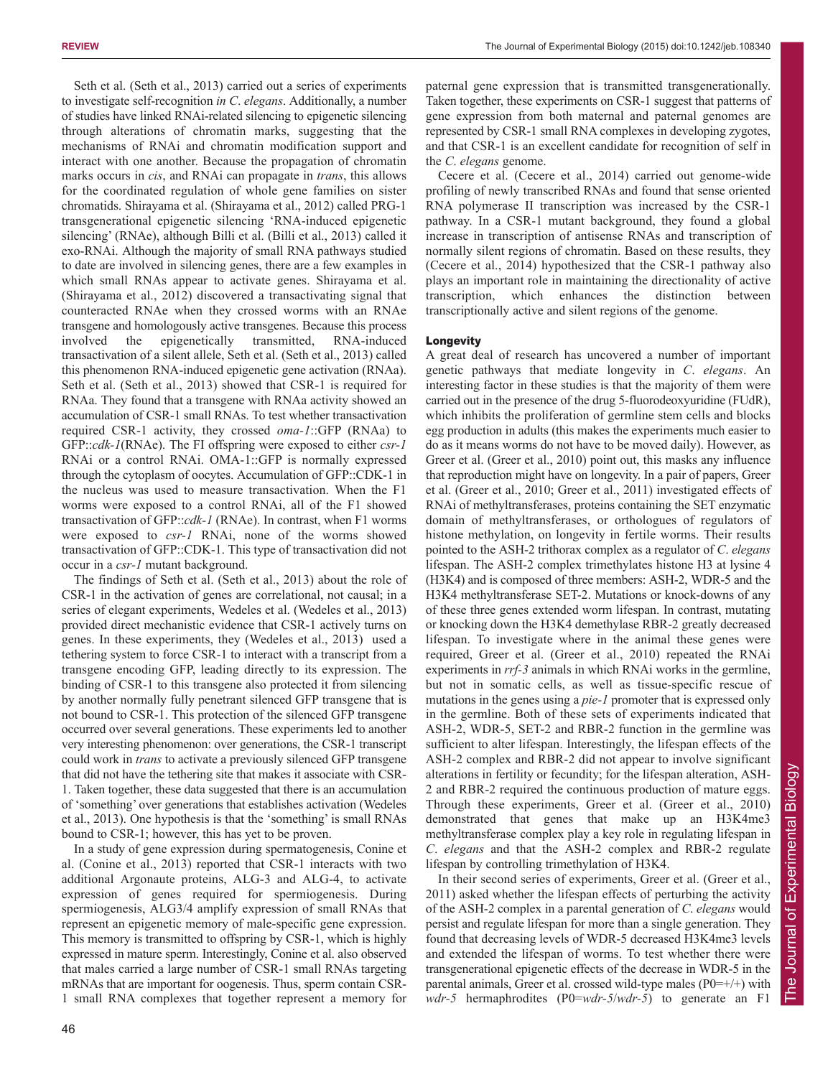Seth et al. (Seth et al., 2013) carried out a series of experiments to investigate self-recognition *in C*. *elegans*. Additionally, a number of studies have linked RNAi-related silencing to epigenetic silencing through alterations of chromatin marks, suggesting that the mechanisms of RNAi and chromatin modification support and interact with one another. Because the propagation of chromatin marks occurs in *cis*, and RNAi can propagate in *trans*, this allows for the coordinated regulation of whole gene families on sister chromatids. Shirayama et al. (Shirayama et al., 2012) called PRG-1 transgenerational epigenetic silencing 'RNA-induced epigenetic silencing' (RNAe), although Billi et al. (Billi et al., 2013) called it exo-RNAi. Although the majority of small RNA pathways studied to date are involved in silencing genes, there are a few examples in which small RNAs appear to activate genes. Shirayama et al. (Shirayama et al., 2012) discovered a transactivating signal that counteracted RNAe when they crossed worms with an RNAe transgene and homologously active transgenes. Because this process involved the epigenetically transmitted, RNA-induced transactivation of a silent allele, Seth et al. (Seth et al., 2013) called this phenomenon RNA-induced epigenetic gene activation (RNAa). Seth et al. (Seth et al., 2013) showed that CSR-1 is required for RNAa. They found that a transgene with RNAa activity showed an accumulation of CSR-1 small RNAs. To test whether transactivation required CSR-1 activity, they crossed *oma-1*::GFP (RNAa) to GFP::*cdk-1*(RNAe). The FI offspring were exposed to either *csr-1* RNAi or a control RNAi. OMA-1::GFP is normally expressed through the cytoplasm of oocytes. Accumulation of GFP::CDK-1 in the nucleus was used to measure transactivation. When the F1 worms were exposed to a control RNAi, all of the F1 showed transactivation of GFP::*cdk-1* (RNAe). In contrast, when F1 worms were exposed to *csr-1* RNAi, none of the worms showed transactivation of GFP::CDK-1. This type of transactivation did not occur in a *csr-1* mutant background.

The findings of Seth et al. (Seth et al., 2013) about the role of CSR-1 in the activation of genes are correlational, not causal; in a series of elegant experiments, Wedeles et al. (Wedeles et al., 2013) provided direct mechanistic evidence that CSR-1 actively turns on genes. In these experiments, they (Wedeles et al., 2013) used a tethering system to force CSR-1 to interact with a transcript from a transgene encoding GFP, leading directly to its expression. The binding of CSR-1 to this transgene also protected it from silencing by another normally fully penetrant silenced GFP transgene that is not bound to CSR-1. This protection of the silenced GFP transgene occurred over several generations. These experiments led to another very interesting phenomenon: over generations, the CSR-1 transcript could work in *trans* to activate a previously silenced GFP transgene that did not have the tethering site that makes it associate with CSR-1. Taken together, these data suggested that there is an accumulation of 'something' over generations that establishes activation (Wedeles et al., 2013). One hypothesis is that the 'something' is small RNAs bound to CSR-1; however, this has yet to be proven.

In a study of gene expression during spermatogenesis, Conine et al. (Conine et al., 2013) reported that CSR-1 interacts with two additional Argonaute proteins, ALG-3 and ALG-4, to activate expression of genes required for spermiogenesis. During spermiogenesis, ALG3/4 amplify expression of small RNAs that represent an epigenetic memory of male-specific gene expression. This memory is transmitted to offspring by CSR-1, which is highly expressed in mature sperm. Interestingly, Conine et al. also observed that males carried a large number of CSR-1 small RNAs targeting mRNAs that are important for oogenesis. Thus, sperm contain CSR-1 small RNA complexes that together represent a memory for paternal gene expression that is transmitted transgenerationally. Taken together, these experiments on CSR-1 suggest that patterns of gene expression from both maternal and paternal genomes are represented by CSR-1 small RNA complexes in developing zygotes, and that CSR-1 is an excellent candidate for recognition of self in the *C*. *elegans* genome.

Cecere et al. (Cecere et al., 2014) carried out genome-wide profiling of newly transcribed RNAs and found that sense oriented RNA polymerase II transcription was increased by the CSR-1 pathway. In a CSR-1 mutant background, they found a global increase in transcription of antisense RNAs and transcription of normally silent regions of chromatin. Based on these results, they (Cecere et al., 2014) hypothesized that the CSR-1 pathway also plays an important role in maintaining the directionality of active transcription, which enhances the distinction between transcriptionally active and silent regions of the genome.

# Longevity

A great deal of research has uncovered a number of important genetic pathways that mediate longevity in *C*. *elegans*. An interesting factor in these studies is that the majority of them were carried out in the presence of the drug 5-fluorodeoxyuridine (FUdR), which inhibits the proliferation of germline stem cells and blocks egg production in adults (this makes the experiments much easier to do as it means worms do not have to be moved daily). However, as Greer et al. (Greer et al., 2010) point out, this masks any influence that reproduction might have on longevity. In a pair of papers, Greer et al. (Greer et al., 2010; Greer et al., 2011) investigated effects of RNAi of methyltransferases, proteins containing the SET enzymatic domain of methyltransferases, or orthologues of regulators of histone methylation, on longevity in fertile worms. Their results pointed to the ASH-2 trithorax complex as a regulator of *C*. *elegans* lifespan. The ASH-2 complex trimethylates histone H3 at lysine 4 (H3K4) and is composed of three members: ASH-2, WDR-5 and the H3K4 methyltransferase SET-2. Mutations or knock-downs of any of these three genes extended worm lifespan. In contrast, mutating or knocking down the H3K4 demethylase RBR-2 greatly decreased lifespan. To investigate where in the animal these genes were required, Greer et al. (Greer et al., 2010) repeated the RNAi experiments in *rrf-3* animals in which RNAi works in the germline, but not in somatic cells, as well as tissue-specific rescue of mutations in the genes using a *pie-1* promoter that is expressed only in the germline. Both of these sets of experiments indicated that ASH-2, WDR-5, SET-2 and RBR-2 function in the germline was sufficient to alter lifespan. Interestingly, the lifespan effects of the ASH-2 complex and RBR-2 did not appear to involve significant alterations in fertility or fecundity; for the lifespan alteration, ASH-2 and RBR-2 required the continuous production of mature eggs. Through these experiments, Greer et al. (Greer et al., 2010) demonstrated that genes that make up an H3K4me3 methyltransferase complex play a key role in regulating lifespan in *C*. *elegans* and that the ASH-2 complex and RBR-2 regulate lifespan by controlling trimethylation of H3K4.

In their second series of experiments, Greer et al. (Greer et al., 2011) asked whether the lifespan effects of perturbing the activity of the ASH-2 complex in a parental generation of *C*. *elegans* would persist and regulate lifespan for more than a single generation. They found that decreasing levels of WDR-5 decreased H3K4me3 levels and extended the lifespan of worms. To test whether there were transgenerational epigenetic effects of the decrease in WDR-5 in the parental animals, Greer et al. crossed wild-type males  $(P0=+/+)$  with *wdr-5* hermaphrodites (P0=*wdr-5*/*wdr-5*) to generate an F1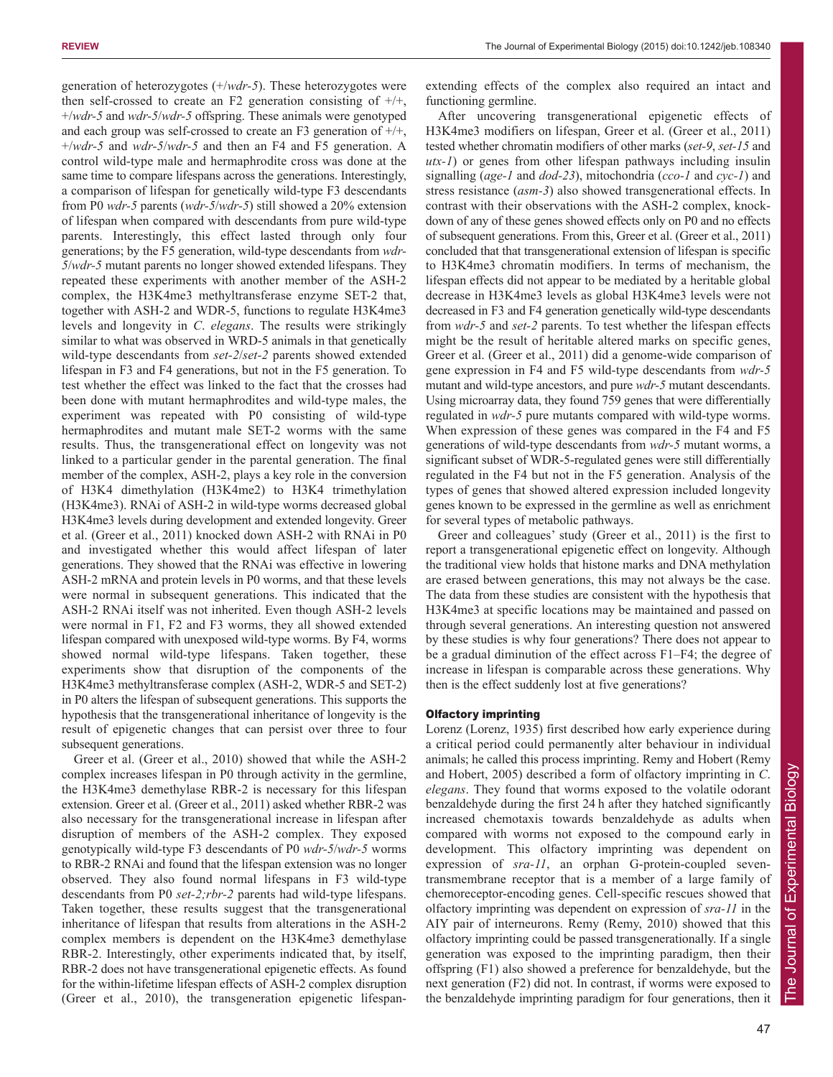generation of heterozygotes (+/*wdr-5*). These heterozygotes were then self-crossed to create an F2 generation consisting of  $+/+$ , +/*wdr-5* and *wdr-5*/*wdr-5* offspring. These animals were genotyped and each group was self-crossed to create an F3 generation of  $+/+$ , +/*wdr-5* and *wdr-5*/*wdr-5* and then an F4 and F5 generation. A control wild-type male and hermaphrodite cross was done at the same time to compare lifespans across the generations. Interestingly, a comparison of lifespan for genetically wild-type F3 descendants from P0 *wdr-5* parents (*wdr-5*/*wdr-5*) still showed a 20% extension of lifespan when compared with descendants from pure wild-type parents. Interestingly, this effect lasted through only four generations; by the F5 generation, wild-type descendants from *wdr-5*/*wdr-5* mutant parents no longer showed extended lifespans. They repeated these experiments with another member of the ASH-2 complex, the H3K4me3 methyltransferase enzyme SET-2 that, together with ASH-2 and WDR-5, functions to regulate H3K4me3 levels and longevity in *C*. *elegans*. The results were strikingly similar to what was observed in WRD-5 animals in that genetically wild-type descendants from *set-2*/*set-2* parents showed extended lifespan in F3 and F4 generations, but not in the F5 generation. To test whether the effect was linked to the fact that the crosses had been done with mutant hermaphrodites and wild-type males, the experiment was repeated with P0 consisting of wild-type hermaphrodites and mutant male SET-2 worms with the same results. Thus, the transgenerational effect on longevity was not linked to a particular gender in the parental generation. The final member of the complex, ASH-2, plays a key role in the conversion of H3K4 dimethylation (H3K4me2) to H3K4 trimethylation (H3K4me3). RNAi of ASH-2 in wild-type worms decreased global H3K4me3 levels during development and extended longevity. Greer et al. (Greer et al., 2011) knocked down ASH-2 with RNAi in P0 and investigated whether this would affect lifespan of later generations. They showed that the RNAi was effective in lowering ASH-2 mRNA and protein levels in P0 worms, and that these levels were normal in subsequent generations. This indicated that the ASH-2 RNAi itself was not inherited. Even though ASH-2 levels were normal in F1, F2 and F3 worms, they all showed extended lifespan compared with unexposed wild-type worms. By F4, worms showed normal wild-type lifespans. Taken together, these experiments show that disruption of the components of the H3K4me3 methyltransferase complex (ASH-2, WDR-5 and SET-2) in P0 alters the lifespan of subsequent generations. This supports the hypothesis that the transgenerational inheritance of longevity is the result of epigenetic changes that can persist over three to four subsequent generations.

Greer et al. (Greer et al., 2010) showed that while the ASH-2 complex increases lifespan in P0 through activity in the germline, the H3K4me3 demethylase RBR-2 is necessary for this lifespan extension. Greer et al. (Greer et al., 2011) asked whether RBR-2 was also necessary for the transgenerational increase in lifespan after disruption of members of the ASH-2 complex. They exposed genotypically wild-type F3 descendants of P0 *wdr-5*/*wdr-5* worms to RBR-2 RNAi and found that the lifespan extension was no longer observed. They also found normal lifespans in F3 wild-type descendants from P0 *set-2;rbr-2* parents had wild-type lifespans. Taken together, these results suggest that the transgenerational inheritance of lifespan that results from alterations in the ASH-2 complex members is dependent on the H3K4me3 demethylase RBR-2. Interestingly, other experiments indicated that, by itself, RBR-2 does not have transgenerational epigenetic effects. As found for the within-lifetime lifespan effects of ASH-2 complex disruption (Greer et al., 2010), the transgeneration epigenetic lifespanextending effects of the complex also required an intact and functioning germline.

After uncovering transgenerational epigenetic effects of H3K4me3 modifiers on lifespan, Greer et al. (Greer et al., 2011) tested whether chromatin modifiers of other marks (*set-9*, *set-15* and *utx-1*) or genes from other lifespan pathways including insulin signalling (*age-1* and *dod-23*), mitochondria (*cco-1* and *cyc-1*) and stress resistance (*asm-3*) also showed transgenerational effects. In contrast with their observations with the ASH-2 complex, knockdown of any of these genes showed effects only on P0 and no effects of subsequent generations. From this, Greer et al. (Greer et al., 2011) concluded that that transgenerational extension of lifespan is specific to H3K4me3 chromatin modifiers. In terms of mechanism, the lifespan effects did not appear to be mediated by a heritable global decrease in H3K4me3 levels as global H3K4me3 levels were not decreased in F3 and F4 generation genetically wild-type descendants from *wdr-5* and *set-2* parents. To test whether the lifespan effects might be the result of heritable altered marks on specific genes, Greer et al. (Greer et al., 2011) did a genome-wide comparison of gene expression in F4 and F5 wild-type descendants from *wdr-5* mutant and wild-type ancestors, and pure *wdr-5* mutant descendants. Using microarray data, they found 759 genes that were differentially regulated in *wdr-5* pure mutants compared with wild-type worms. When expression of these genes was compared in the F4 and F5 generations of wild-type descendants from *wdr-5* mutant worms, a significant subset of WDR-5-regulated genes were still differentially regulated in the F4 but not in the F5 generation. Analysis of the types of genes that showed altered expression included longevity genes known to be expressed in the germline as well as enrichment for several types of metabolic pathways.

Greer and colleagues' study (Greer et al., 2011) is the first to report a transgenerational epigenetic effect on longevity. Although the traditional view holds that histone marks and DNA methylation are erased between generations, this may not always be the case. The data from these studies are consistent with the hypothesis that H3K4me3 at specific locations may be maintained and passed on through several generations. An interesting question not answered by these studies is why four generations? There does not appear to be a gradual diminution of the effect across F1–F4; the degree of increase in lifespan is comparable across these generations. Why then is the effect suddenly lost at five generations?

## Olfactory imprinting

Lorenz (Lorenz, 1935) first described how early experience during a critical period could permanently alter behaviour in individual animals; he called this process imprinting. Remy and Hobert (Remy and Hobert, 2005) described a form of olfactory imprinting in *C*. *elegans*. They found that worms exposed to the volatile odorant benzaldehyde during the first 24 h after they hatched significantly increased chemotaxis towards benzaldehyde as adults when compared with worms not exposed to the compound early in development. This olfactory imprinting was dependent on expression of *sra-11*, an orphan G-protein-coupled seventransmembrane receptor that is a member of a large family of chemoreceptor-encoding genes. Cell-specific rescues showed that olfactory imprinting was dependent on expression of *sra-11* in the AIY pair of interneurons. Remy (Remy, 2010) showed that this olfactory imprinting could be passed transgenerationally. If a single generation was exposed to the imprinting paradigm, then their offspring (F1) also showed a preference for benzaldehyde, but the next generation (F2) did not. In contrast, if worms were exposed to the benzaldehyde imprinting paradigm for four generations, then it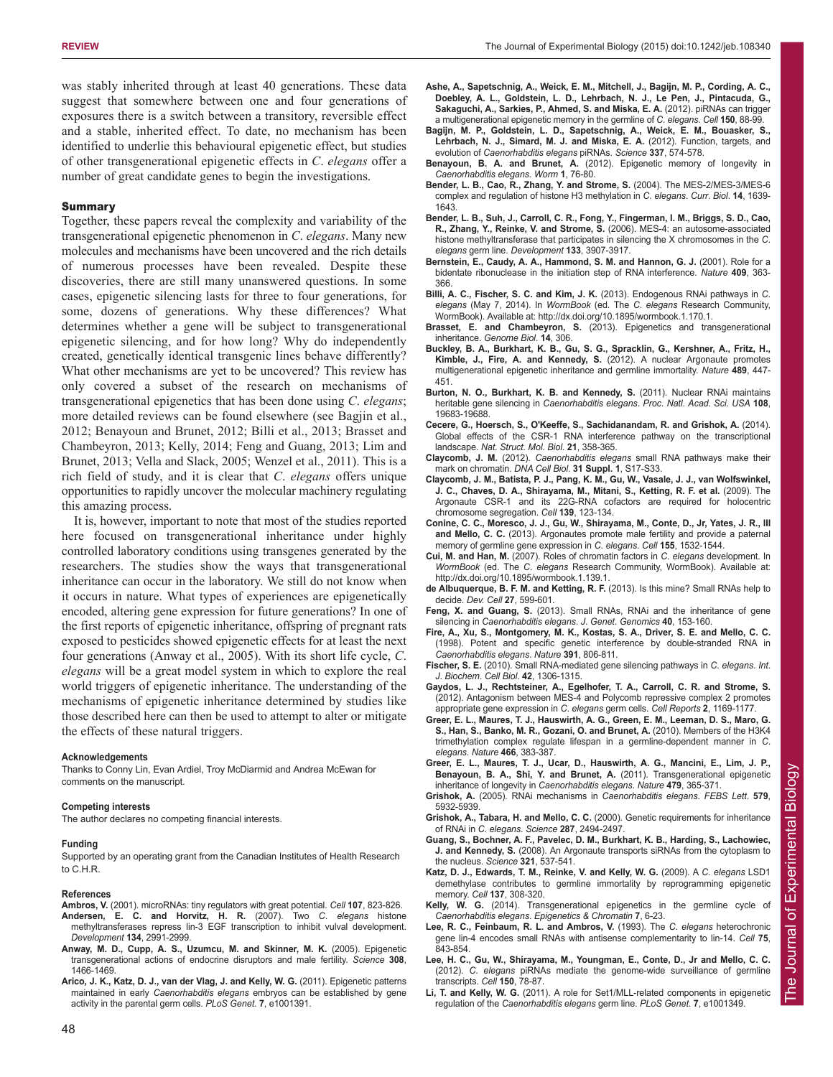was stably inherited through at least 40 generations. These data suggest that somewhere between one and four generations of exposures there is a switch between a transitory, reversible effect and a stable, inherited effect. To date, no mechanism has been identified to underlie this behavioural epigenetic effect, but studies of other transgenerational epigenetic effects in *C*. *elegans* offer a number of great candidate genes to begin the investigations.

## Summary

Together, these papers reveal the complexity and variability of the transgenerational epigenetic phenomenon in *C*. *elegans*. Many new molecules and mechanisms have been uncovered and the rich details of numerous processes have been revealed. Despite these discoveries, there are still many unanswered questions. In some cases, epigenetic silencing lasts for three to four generations, for some, dozens of generations. Why these differences? What determines whether a gene will be subject to transgenerational epigenetic silencing, and for how long? Why do independently created, genetically identical transgenic lines behave differently? What other mechanisms are yet to be uncovered? This review has only covered a subset of the research on mechanisms of transgenerational epigenetics that has been done using *C*. *elegans*; more detailed reviews can be found elsewhere (see Bagjin et al., 2012; Benayoun and Brunet, 2012; Billi et al., 2013; Brasset and Chambeyron, 2013; Kelly, 2014; Feng and Guang, 2013; Lim and Brunet, 2013; Vella and Slack, 2005; Wenzel et al., 2011). This is a rich field of study, and it is clear that *C*. *elegans* offers unique opportunities to rapidly uncover the molecular machinery regulating this amazing process.

It is, however, important to note that most of the studies reported here focused on transgenerational inheritance under highly controlled laboratory conditions using transgenes generated by the researchers. The studies show the ways that transgenerational inheritance can occur in the laboratory. We still do not know when it occurs in nature. What types of experiences are epigenetically encoded, altering gene expression for future generations? In one of the first reports of epigenetic inheritance, offspring of pregnant rats exposed to pesticides showed epigenetic effects for at least the next four generations (Anway et al., 2005). With its short life cycle, *C*. *elegans* will be a great model system in which to explore the real world triggers of epigenetic inheritance. The understanding of the mechanisms of epigenetic inheritance determined by studies like those described here can then be used to attempt to alter or mitigate the effects of these natural triggers.

## **Acknowledgements**

Thanks to Conny Lin, Evan Ardiel, Troy McDiarmid and Andrea McEwan for comments on the manuscript.

## **Competing interests**

The author declares no competing financial interests.

## **Funding**

Supported by an operating grant from the Canadian Institutes of Health Research to C.H.R.

## **References**

- **Ambros, V.** (2001). microRNAs: tiny regulators with great potential. *Cell* **107**, 823-826. **Andersen, E. C. and Horvitz, H. R.** (2007). Two *C*. *elegans* histone
- methyltransferases repress lin-3 EGF transcription to inhibit vulval development. *Development* **134**, 2991-2999. **Anway, M. D., Cupp, A. S., Uzumcu, M. and Skinner, M. K.** (2005). Epigenetic
- transgenerational actions of endocrine disruptors and male fertility. *Science* **308**, 1466-1469.
- **Arico, J. K., Katz, D. J., van der Vlag, J. and Kelly, W. G.** (2011). Epigenetic patterns maintained in early *Caenorhabditis elegans* embryos can be established by gene activity in the parental germ cells. *PLoS Genet*. **7**, e1001391.
- **Ashe, A., Sapetschnig, A., Weick, E. M., Mitchell, J., Bagijn, M. P., Cording, A. C., Doebley, A. L., Goldstein, L. D., Lehrbach, N. J., Le Pen, J., Pintacuda, G., Sakaguchi, A., Sarkies, P., Ahmed, S. and Miska, E. A.** (2012). piRNAs can trigger a multigenerational epigenetic memory in the germline of *C*. *elegans*. *Cell* **150**, 88-99.
- **Bagijn, M. P., Goldstein, L. D., Sapetschnig, A., Weick, E. M., Bouasker, S., Lehrbach, N. J., Simard, M. J. and Miska, E. A.** (2012). Function, targets, and evolution of *Caenorhabditis elegans* piRNAs. *Science* **337**, 574-578.
- **Benayoun, B. A. and Brunet, A.** (2012). Epigenetic memory of longevity in *Caenorhabditis elegans*. *Worm* **1**, 76-80.
- **Bender, L. B., Cao, R., Zhang, Y. and Strome, S.** (2004). The MES-2/MES-3/MES-6 complex and regulation of histone H3 methylation in *C*. *elegans*. *Curr*. *Biol*. **14**, 1639- 1643.
- **Bender, L. B., Suh, J., Carroll, C. R., Fong, Y., Fingerman, I. M., Briggs, S. D., Cao, R., Zhang, Y., Reinke, V. and Strome, S.** (2006). MES-4: an autosome-associated histone methyltransferase that participates in silencing the X chromosomes in the *C*. *elegans* germ line. *Development* **133**, 3907-3917.
- **Bernstein, E., Caudy, A. A., Hammond, S. M. and Hannon, G. J.** (2001). Role for a bidentate ribonuclease in the initiation step of RNA interference. *Nature* **409**, 363- 366.
- **Billi, A. C., Fischer, S. C. and Kim, J. K.** (2013). Endogenous RNAi pathways in *C*. *elegans* (May 7, 2014). In *WormBook* (ed. The *C*. *elegans* Research Community, WormBook). Available at: http://dx.doi.org/10.1895/wormbook.1.170.1.
- **Brasset, E. and Chambeyron, S.** (2013). Epigenetics and transgenerational inheritance. *Genome Biol*. **14**, 306.
- **Buckley, B. A., Burkhart, K. B., Gu, S. G., Spracklin, G., Kershner, A., Fritz, H., Kimble, J., Fire, A. and Kennedy, S.** (2012). A nuclear Argonaute promotes multigenerational epigenetic inheritance and germline immortality. *Nature* **489**, 447- 451.
- **Burton, N. O., Burkhart, K. B. and Kennedy, S.** (2011). Nuclear RNAi maintains heritable gene silencing in *Caenorhabditis elegans*. *Proc*. *Natl*. *Acad*. *Sci*. *USA* **108**, 19683-19688.
- **Cecere, G., Hoersch, S., O'Keeffe, S., Sachidanandam, R. and Grishok, A.** (2014). Global effects of the CSR-1 RNA interference pathway on the transcriptional landscape. *Nat. Struct. Mol. Biol.* **21**, 358-365.
- **Claycomb, J. M.** (2012). *Caenorhabditis elegans* small RNA pathways make their mark on chromatin. *DNA Cell Biol*. **31 Suppl. 1**, S17-S33.
- **Claycomb, J. M., Batista, P. J., Pang, K. M., Gu, W., Vasale, J. J., van Wolfswinkel, J. C., Chaves, D. A., Shirayama, M., Mitani, S., Ketting, R. F. et al.** (2009). The Argonaute CSR-1 and its 22G-RNA cofactors are required for holocentric chromosome segregation. *Cell* **139**, 123-134.
- **Conine, C. C., Moresco, J. J., Gu, W., Shirayama, M., Conte, D., Jr, Yates, J. R., III and Mello, C. C.** (2013). Argonautes promote male fertility and provide a paternal memory of germline gene expression in *C*. *elegans*. *Cell* **155**, 1532-1544.
- **Cui, M. and Han, M.** (2007). Roles of chromatin factors in *C*. *elegans* development. In *WormBook* (ed. The *C*. *elegans* Research Community, WormBook). Available at: http://dx.doi.org/10.1895/wormbook.1.139.1.
- **de Albuquerque, B. F. M. and Ketting, R. F.** (2013). Is this mine? Small RNAs help to decide. *Dev. Cell* **27**, 599-601.
- **Feng, X. and Guang, S.** (2013). Small RNAs, RNAi and the inheritance of gene silencing in *Caenorhabditis elegans*. *J*. *Genet*. *Genomics* **40**, 153-160.
- **Fire, A., Xu, S., Montgomery, M. K., Kostas, S. A., Driver, S. E. and Mello, C. C.** (1998). Potent and specific genetic interference by double-stranded RNA in *Caenorhabditis elegans*. *Nature* **391**, 806-811.
- **Fischer, S. E.** (2010). Small RNA-mediated gene silencing pathways in *C*. *elegans*. *Int*. *J*. *Biochem*. *Cell Biol*. **42**, 1306-1315.
- **Gaydos, L. J., Rechtsteiner, A., Egelhofer, T. A., Carroll, C. R. and Strome, S.** (2012). Antagonism between MES-4 and Polycomb repressive complex 2 promotes appropriate gene expression in *C*. *elegans* germ cells. *Cell Reports* **2**, 1169-1177.
- **Greer, E. L., Maures, T. J., Hauswirth, A. G., Green, E. M., Leeman, D. S., Maro, G. S., Han, S., Banko, M. R., Gozani, O. and Brunet, A.** (2010). Members of the H3K4 trimethylation complex regulate lifespan in a germline-dependent manner in *C*. *elegans*. *Nature* **466**, 383-387.
- **Greer, E. L., Maures, T. J., Ucar, D., Hauswirth, A. G., Mancini, E., Lim, J. P., Benayoun, B. A., Shi, Y. and Brunet, A.** (2011). Transgenerational epigenetic inheritance of longevity in *Caenorhabditis elegans*. *Nature* **479**, 365-371.
- **Grishok, A.** (2005). RNAi mechanisms in *Caenorhabditis elegans*. *FEBS Lett*. **579**, 5932-5939.
- **Grishok, A., Tabara, H. and Mello, C. C.** (2000). Genetic requirements for inheritance of RNAi in *C*. *elegans*. *Science* **287**, 2494-2497.
- **Guang, S., Bochner, A. F., Pavelec, D. M., Burkhart, K. B., Harding, S., Lachowiec, J. and Kennedy, S.** (2008). An Argonaute transports siRNAs from the cytoplasm to the nucleus. *Science* **321**, 537-541.
- **Katz, D. J., Edwards, T. M., Reinke, V. and Kelly, W. G.** (2009). A *C*. *elegans* LSD1 demethylase contributes to germline immortality by reprogramming epigenetic memory. *Cell* **137**, 308-320.
- **Kelly, W. G.** (2014). Transgenerational epigenetics in the germline cycle of *Caenorhabditis elegans*. *Epigenetics & Chromatin* **7**, 6-23.
- **Lee, R. C., Feinbaum, R. L. and Ambros, V.** (1993). The *C*. *elegans* heterochronic gene lin-4 encodes small RNAs with antisense complementarity to lin-14. *Cell* **75**, 843-854.
- **Lee, H. C., Gu, W., Shirayama, M., Youngman, E., Conte, D., Jr and Mello, C. C.** (2012). *C*. *elegans* piRNAs mediate the genome-wide surveillance of germline transcripts. *Cell* **150**, 78-87.
- **Li, T. and Kelly, W. G.** (2011). A role for Set1/MLL-related components in epigenetic regulation of the *Caenorhabditis elegans* germ line. *PLoS Genet*. **7**, e1001349.